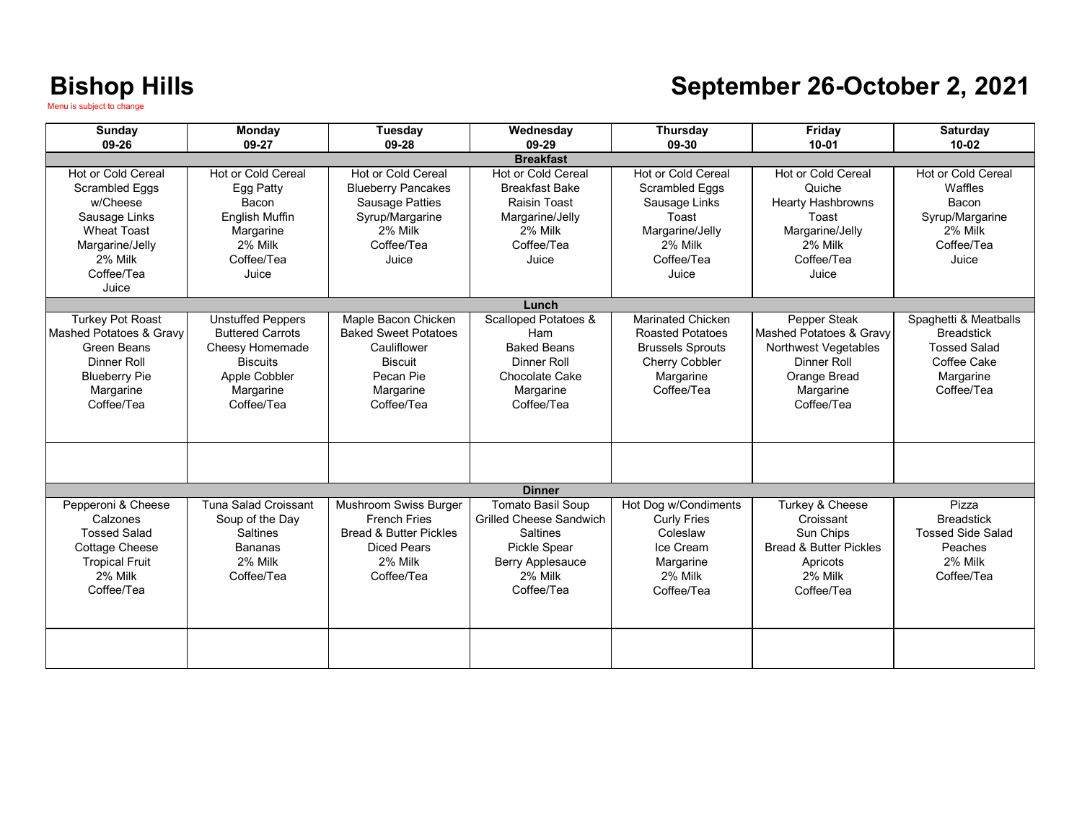### **September 26-October 2, 2021**

| <b>Sunday</b>                                                                                                                                         | <b>Monday</b>                                                                                                                         | Tuesday                                                                                                                               | Wednesday                                                                                                                                                | Thursday                                                                                                                           | Friday                                                                                                                                      | <b>Saturday</b>                                                                                             |
|-------------------------------------------------------------------------------------------------------------------------------------------------------|---------------------------------------------------------------------------------------------------------------------------------------|---------------------------------------------------------------------------------------------------------------------------------------|----------------------------------------------------------------------------------------------------------------------------------------------------------|------------------------------------------------------------------------------------------------------------------------------------|---------------------------------------------------------------------------------------------------------------------------------------------|-------------------------------------------------------------------------------------------------------------|
| 09-26                                                                                                                                                 | 09-27                                                                                                                                 | 09-28                                                                                                                                 | 09-29<br><b>Breakfast</b>                                                                                                                                | 09-30                                                                                                                              | $10 - 01$                                                                                                                                   | $10 - 02$                                                                                                   |
| Hot or Cold Cereal<br><b>Scrambled Eggs</b><br>w/Cheese<br>Sausage Links<br><b>Wheat Toast</b><br>Margarine/Jelly<br>2% Milk<br>Coffee/Tea<br>Juice   | <b>Hot or Cold Cereal</b><br>Egg Patty<br>Bacon<br><b>English Muffin</b><br>Margarine<br>2% Milk<br>Coffee/Tea<br>Juice               | <b>Hot or Cold Cereal</b><br><b>Blueberry Pancakes</b><br><b>Sausage Patties</b><br>Syrup/Margarine<br>2% Milk<br>Coffee/Tea<br>Juice | Hot or Cold Cereal<br><b>Breakfast Bake</b><br><b>Raisin Toast</b><br>Margarine/Jelly<br>2% Milk<br>Coffee/Tea<br>Juice                                  | <b>Hot or Cold Cereal</b><br>Scrambled Eggs<br>Sausage Links<br>Toast<br>Margarine/Jelly<br>2% Milk<br>Coffee/Tea<br>Juice         | <b>Hot or Cold Cereal</b><br>Quiche<br><b>Hearty Hashbrowns</b><br>Toast<br>Margarine/Jelly<br>2% Milk<br>Coffee/Tea<br>Juice               | Hot or Cold Cereal<br>Waffles<br>Bacon<br>Syrup/Margarine<br>2% Milk<br>Coffee/Tea<br>Juice                 |
|                                                                                                                                                       |                                                                                                                                       |                                                                                                                                       | Lunch                                                                                                                                                    |                                                                                                                                    |                                                                                                                                             |                                                                                                             |
| <b>Turkey Pot Roast</b><br><b>Mashed Potatoes &amp; Gravy</b><br>Green Beans<br><b>Dinner Roll</b><br><b>Blueberry Pie</b><br>Margarine<br>Coffee/Tea | <b>Unstuffed Peppers</b><br><b>Buttered Carrots</b><br>Cheesy Homemade<br><b>Biscuits</b><br>Apple Cobbler<br>Margarine<br>Coffee/Tea | Maple Bacon Chicken<br><b>Baked Sweet Potatoes</b><br>Cauliflower<br><b>Biscuit</b><br>Pecan Pie<br>Margarine<br>Coffee/Tea           | <b>Scalloped Potatoes &amp;</b><br>Ham<br><b>Baked Beans</b><br><b>Dinner Roll</b><br>Chocolate Cake<br>Margarine<br>Coffee/Tea                          | <b>Marinated Chicken</b><br><b>Roasted Potatoes</b><br><b>Brussels Sprouts</b><br><b>Cherry Cobbler</b><br>Margarine<br>Coffee/Tea | Pepper Steak<br><b>Mashed Potatoes &amp; Gravy</b><br>Northwest Vegetables<br><b>Dinner Roll</b><br>Orange Bread<br>Margarine<br>Coffee/Tea | Spaghetti & Meatballs<br><b>Breadstick</b><br><b>Tossed Salad</b><br>Coffee Cake<br>Margarine<br>Coffee/Tea |
|                                                                                                                                                       |                                                                                                                                       |                                                                                                                                       |                                                                                                                                                          |                                                                                                                                    |                                                                                                                                             |                                                                                                             |
|                                                                                                                                                       |                                                                                                                                       |                                                                                                                                       | <b>Dinner</b>                                                                                                                                            |                                                                                                                                    |                                                                                                                                             |                                                                                                             |
| Pepperoni & Cheese<br>Calzones<br><b>Tossed Salad</b><br><b>Cottage Cheese</b><br><b>Tropical Fruit</b><br>2% Milk<br>Coffee/Tea                      | <b>Tuna Salad Croissant</b><br>Soup of the Day<br><b>Saltines</b><br><b>Bananas</b><br>2% Milk<br>Coffee/Tea                          | Mushroom Swiss Burger<br><b>French Fries</b><br><b>Bread &amp; Butter Pickles</b><br><b>Diced Pears</b><br>2% Milk<br>Coffee/Tea      | <b>Tomato Basil Soup</b><br><b>Grilled Cheese Sandwich</b><br><b>Saltines</b><br><b>Pickle Spear</b><br><b>Berry Applesauce</b><br>2% Milk<br>Coffee/Tea | Hot Dog w/Condiments<br><b>Curly Fries</b><br>Coleslaw<br>Ice Cream<br>Margarine<br>2% Milk<br>Coffee/Tea                          | Turkey & Cheese<br>Croissant<br>Sun Chips<br><b>Bread &amp; Butter Pickles</b><br>Apricots<br>2% Milk<br>Coffee/Tea                         | Pizza<br><b>Breadstick</b><br><b>Tossed Side Salad</b><br>Peaches<br>2% Milk<br>Coffee/Tea                  |
|                                                                                                                                                       |                                                                                                                                       |                                                                                                                                       |                                                                                                                                                          |                                                                                                                                    |                                                                                                                                             |                                                                                                             |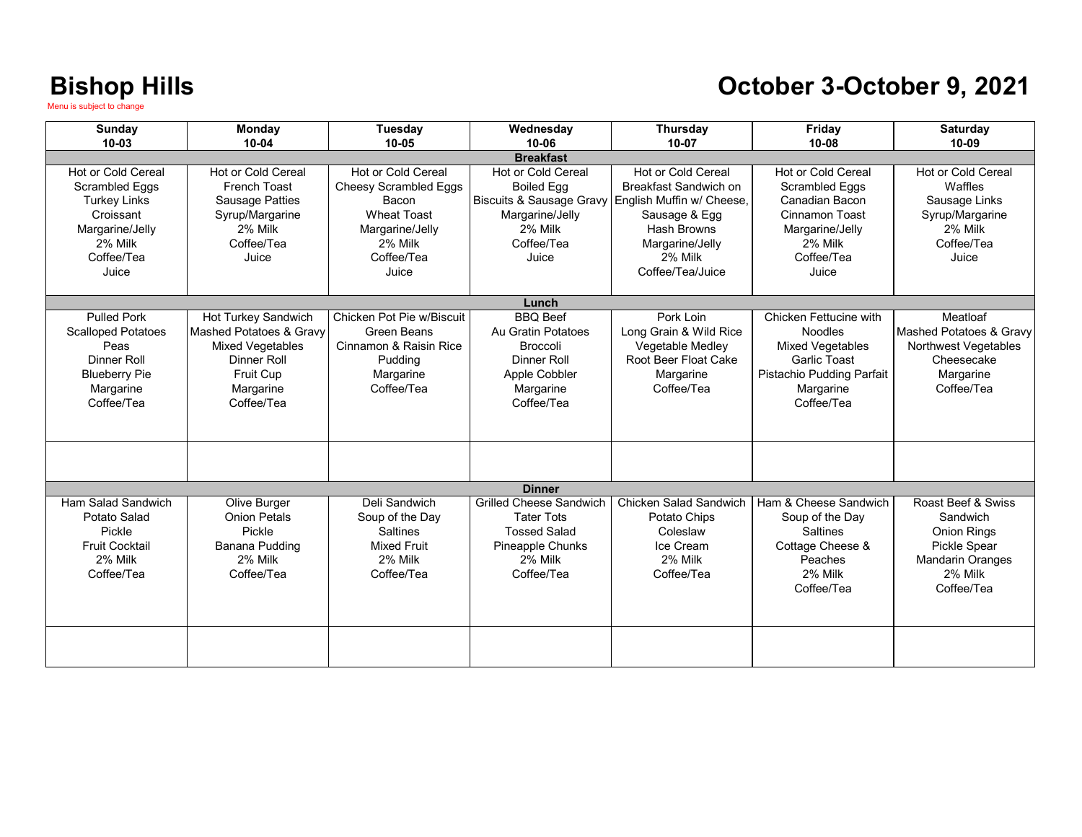#### **October 3-October 9, 2021**

| Sunday                                                                                                                               | Monday                                                                                                                           | Tuesday                                                                                                                                | Wednesday                                                                                                                                               | <b>Thursday</b>                                                                                                                                                   | Friday                                                                                                                                      | Saturday                                                                                                                 |  |  |
|--------------------------------------------------------------------------------------------------------------------------------------|----------------------------------------------------------------------------------------------------------------------------------|----------------------------------------------------------------------------------------------------------------------------------------|---------------------------------------------------------------------------------------------------------------------------------------------------------|-------------------------------------------------------------------------------------------------------------------------------------------------------------------|---------------------------------------------------------------------------------------------------------------------------------------------|--------------------------------------------------------------------------------------------------------------------------|--|--|
| $10 - 03$                                                                                                                            | $10 - 04$                                                                                                                        | $10 - 05$                                                                                                                              | $10 - 06$                                                                                                                                               | $10 - 07$                                                                                                                                                         | $10 - 08$                                                                                                                                   | $10 - 09$                                                                                                                |  |  |
| Hot or Cold Cereal<br><b>Scrambled Eggs</b><br><b>Turkey Links</b><br>Croissant<br>Margarine/Jelly<br>2% Milk<br>Coffee/Tea<br>Juice | Hot or Cold Cereal<br><b>French Toast</b><br><b>Sausage Patties</b><br>Syrup/Margarine<br>2% Milk<br>Coffee/Tea<br>Juice         | Hot or Cold Cereal<br><b>Cheesy Scrambled Eggs</b><br>Bacon<br><b>Wheat Toast</b><br>Margarine/Jelly<br>2% Milk<br>Coffee/Tea<br>Juice | <b>Breakfast</b><br>Hot or Cold Cereal<br><b>Boiled Egg</b><br><b>Biscuits &amp; Sausage Gravy</b><br>Margarine/Jelly<br>2% Milk<br>Coffee/Tea<br>Juice | Hot or Cold Cereal<br>Breakfast Sandwich on<br>English Muffin w/ Cheese,<br>Sausage & Egg<br><b>Hash Browns</b><br>Margarine/Jelly<br>2% Milk<br>Coffee/Tea/Juice | <b>Hot or Cold Cereal</b><br><b>Scrambled Eggs</b><br>Canadian Bacon<br>Cinnamon Toast<br>Margarine/Jelly<br>2% Milk<br>Coffee/Tea<br>Juice | <b>Hot or Cold Cereal</b><br>Waffles<br>Sausage Links<br>Syrup/Margarine<br>2% Milk<br>Coffee/Tea<br>Juice               |  |  |
| Lunch                                                                                                                                |                                                                                                                                  |                                                                                                                                        |                                                                                                                                                         |                                                                                                                                                                   |                                                                                                                                             |                                                                                                                          |  |  |
| <b>Pulled Pork</b><br><b>Scalloped Potatoes</b><br>Peas<br>Dinner Roll<br><b>Blueberry Pie</b><br>Margarine<br>Coffee/Tea            | Hot Turkey Sandwich<br>Mashed Potatoes & Gravy<br><b>Mixed Vegetables</b><br>Dinner Roll<br>Fruit Cup<br>Margarine<br>Coffee/Tea | Chicken Pot Pie w/Biscuit<br>Green Beans<br>Cinnamon & Raisin Rice<br>Pudding<br>Margarine<br>Coffee/Tea                               | <b>BBO</b> Beef<br>Au Gratin Potatoes<br><b>Broccoli</b><br>Dinner Roll<br>Apple Cobbler<br>Margarine<br>Coffee/Tea                                     | Pork Loin<br>Long Grain & Wild Rice<br>Vegetable Medley<br>Root Beer Float Cake<br>Margarine<br>Coffee/Tea                                                        | Chicken Fettucine with<br><b>Noodles</b><br>Mixed Vegetables<br><b>Garlic Toast</b><br>Pistachio Pudding Parfait<br>Margarine<br>Coffee/Tea | Meatloaf<br>Mashed Potatoes & Gravy<br>Northwest Vegetables<br>Cheesecake<br>Margarine<br>Coffee/Tea                     |  |  |
|                                                                                                                                      |                                                                                                                                  |                                                                                                                                        |                                                                                                                                                         |                                                                                                                                                                   |                                                                                                                                             |                                                                                                                          |  |  |
|                                                                                                                                      |                                                                                                                                  |                                                                                                                                        | <b>Dinner</b>                                                                                                                                           |                                                                                                                                                                   |                                                                                                                                             |                                                                                                                          |  |  |
| Ham Salad Sandwich<br>Potato Salad<br>Pickle<br><b>Fruit Cocktail</b><br>2% Milk<br>Coffee/Tea                                       | Olive Burger<br><b>Onion Petals</b><br>Pickle<br>Banana Pudding<br>2% Milk<br>Coffee/Tea                                         | Deli Sandwich<br>Soup of the Day<br><b>Saltines</b><br><b>Mixed Fruit</b><br>2% Milk<br>Coffee/Tea                                     | <b>Grilled Cheese Sandwich</b><br><b>Tater Tots</b><br><b>Tossed Salad</b><br>Pineapple Chunks<br>2% Milk<br>Coffee/Tea                                 | Chicken Salad Sandwich<br>Potato Chips<br>Coleslaw<br>Ice Cream<br>2% Milk<br>Coffee/Tea                                                                          | Ham & Cheese Sandwich<br>Soup of the Day<br><b>Saltines</b><br>Cottage Cheese &<br>Peaches<br>2% Milk<br>Coffee/Tea                         | Roast Beef & Swiss<br>Sandwich<br><b>Onion Rings</b><br>Pickle Spear<br><b>Mandarin Oranges</b><br>2% Milk<br>Coffee/Tea |  |  |
|                                                                                                                                      |                                                                                                                                  |                                                                                                                                        |                                                                                                                                                         |                                                                                                                                                                   |                                                                                                                                             |                                                                                                                          |  |  |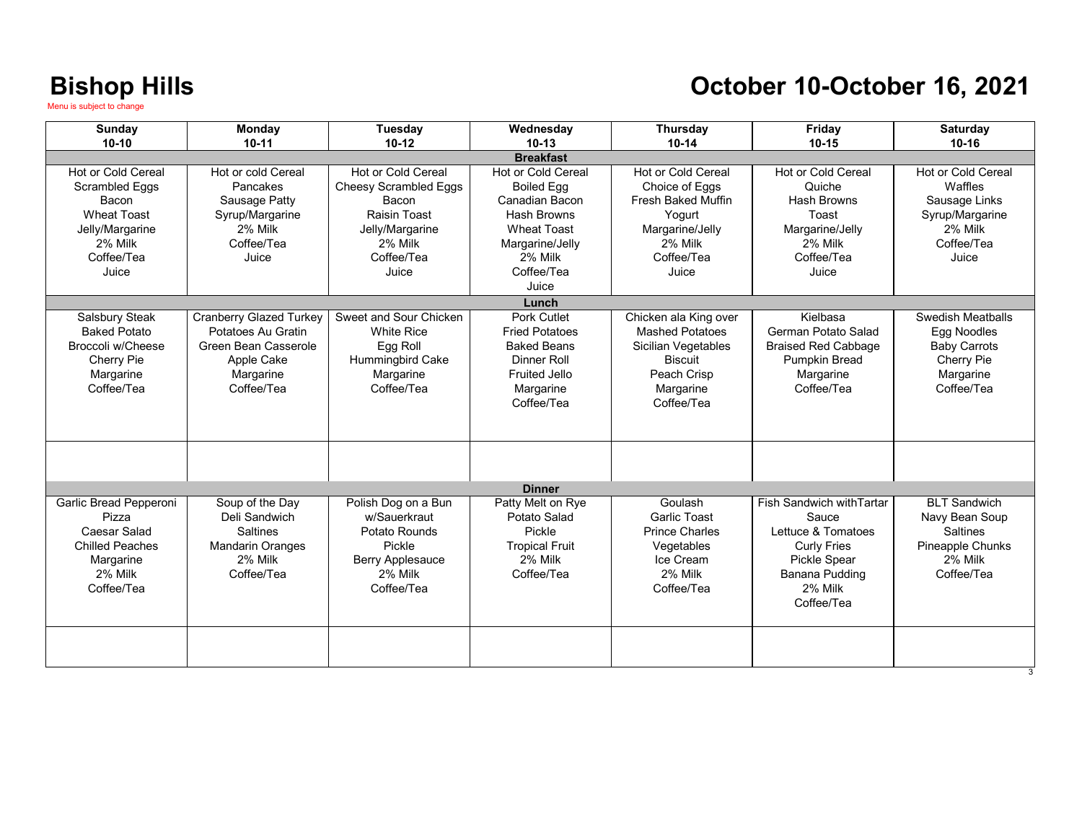### **October 10-October 16, 2021**

| Sunday                    | Monday                             | Tuesday                 | Wednesday                        | Thursday                  | Friday                     | <b>Saturday</b>                   |  |  |
|---------------------------|------------------------------------|-------------------------|----------------------------------|---------------------------|----------------------------|-----------------------------------|--|--|
| $10-10$                   | $10 - 11$                          | $10-12$                 | $10-13$                          | $10-14$                   | $10 - 15$                  | $10 - 16$                         |  |  |
| <b>Breakfast</b>          |                                    |                         |                                  |                           |                            |                                   |  |  |
| <b>Hot or Cold Cereal</b> | Hot or cold Cereal                 | Hot or Cold Cereal      | Hot or Cold Cereal               | Hot or Cold Cereal        | Hot or Cold Cereal         | Hot or Cold Cereal                |  |  |
| Scrambled Eggs            | Pancakes                           | Cheesy Scrambled Eggs   | <b>Boiled Egg</b>                | Choice of Eggs            | Quiche                     | Waffles                           |  |  |
| Bacon                     | Sausage Patty                      | Bacon                   | Canadian Bacon                   | <b>Fresh Baked Muffin</b> | Hash Browns                | Sausage Links                     |  |  |
| <b>Wheat Toast</b>        | Syrup/Margarine                    | Raisin Toast            | Hash Browns                      | Yogurt                    | Toast                      | Syrup/Margarine                   |  |  |
| Jelly/Margarine           | 2% Milk                            | Jelly/Margarine         | <b>Wheat Toast</b>               | Margarine/Jelly           | Margarine/Jelly            | 2% Milk                           |  |  |
| 2% Milk                   | Coffee/Tea                         | 2% Milk                 | Margarine/Jelly                  | 2% Milk                   | 2% Milk                    | Coffee/Tea                        |  |  |
| Coffee/Tea                | Juice                              | Coffee/Tea              | 2% Milk                          | Coffee/Tea                | Coffee/Tea                 | Juice                             |  |  |
| Juice                     |                                    | Juice                   | Coffee/Tea                       | Juice                     | Juice                      |                                   |  |  |
|                           |                                    |                         | Juice                            |                           |                            |                                   |  |  |
|                           |                                    |                         | Lunch                            |                           |                            |                                   |  |  |
| Salsbury Steak            | <b>Cranberry Glazed Turkey</b>     | Sweet and Sour Chicken  | Pork Cutlet                      | Chicken ala King over     | Kielbasa                   | Swedish Meatballs                 |  |  |
| <b>Baked Potato</b>       | Potatoes Au Gratin                 | <b>White Rice</b>       | <b>Fried Potatoes</b>            | <b>Mashed Potatoes</b>    | German Potato Salad        | Egg Noodles                       |  |  |
| Broccoli w/Cheese         | Green Bean Casserole               | Egg Roll                | <b>Baked Beans</b>               | Sicilian Vegetables       | <b>Braised Red Cabbage</b> | <b>Baby Carrots</b>               |  |  |
| <b>Cherry Pie</b>         | Apple Cake                         | Hummingbird Cake        | Dinner Roll                      | <b>Biscuit</b>            | <b>Pumpkin Bread</b>       | Cherry Pie                        |  |  |
| Margarine                 | Margarine                          | Margarine               | <b>Fruited Jello</b>             | Peach Crisp               | Margarine                  | Margarine                         |  |  |
| Coffee/Tea                | Coffee/Tea                         | Coffee/Tea              | Margarine                        | Margarine                 | Coffee/Tea                 | Coffee/Tea                        |  |  |
|                           |                                    |                         | Coffee/Tea                       | Coffee/Tea                |                            |                                   |  |  |
|                           |                                    |                         |                                  |                           |                            |                                   |  |  |
|                           |                                    |                         |                                  |                           |                            |                                   |  |  |
|                           |                                    |                         |                                  |                           |                            |                                   |  |  |
|                           |                                    |                         |                                  |                           |                            |                                   |  |  |
|                           |                                    |                         | <b>Dinner</b>                    |                           |                            |                                   |  |  |
| Garlic Bread Pepperoni    | Soup of the Day                    | Polish Dog on a Bun     | Patty Melt on Rye                | Goulash                   | Fish Sandwich with Tartar  | <b>BLT Sandwich</b>               |  |  |
| Pizza                     | Deli Sandwich                      | w/Sauerkraut            | Potato Salad                     | <b>Garlic Toast</b>       | Sauce                      |                                   |  |  |
| Caesar Salad              | <b>Saltines</b>                    | Potato Rounds           | Pickle                           | <b>Prince Charles</b>     | Lettuce & Tomatoes         | Navy Bean Soup<br><b>Saltines</b> |  |  |
| <b>Chilled Peaches</b>    |                                    | Pickle                  |                                  |                           |                            |                                   |  |  |
|                           | <b>Mandarin Oranges</b><br>2% Milk |                         | <b>Tropical Fruit</b><br>2% Milk | Vegetables<br>Ice Cream   | <b>Curly Fries</b>         | Pineapple Chunks<br>2% Milk       |  |  |
| Margarine                 |                                    | <b>Berry Applesauce</b> |                                  | 2% Milk                   | Pickle Spear               |                                   |  |  |
| 2% Milk                   | Coffee/Tea                         | 2% Milk                 | Coffee/Tea                       |                           | Banana Pudding<br>2% Milk  | Coffee/Tea                        |  |  |
| Coffee/Tea                |                                    | Coffee/Tea              |                                  | Coffee/Tea                |                            |                                   |  |  |
|                           |                                    |                         |                                  |                           | Coffee/Tea                 |                                   |  |  |
|                           |                                    |                         |                                  |                           |                            |                                   |  |  |
|                           |                                    |                         |                                  |                           |                            |                                   |  |  |
|                           |                                    |                         |                                  |                           |                            |                                   |  |  |
|                           |                                    |                         |                                  |                           |                            |                                   |  |  |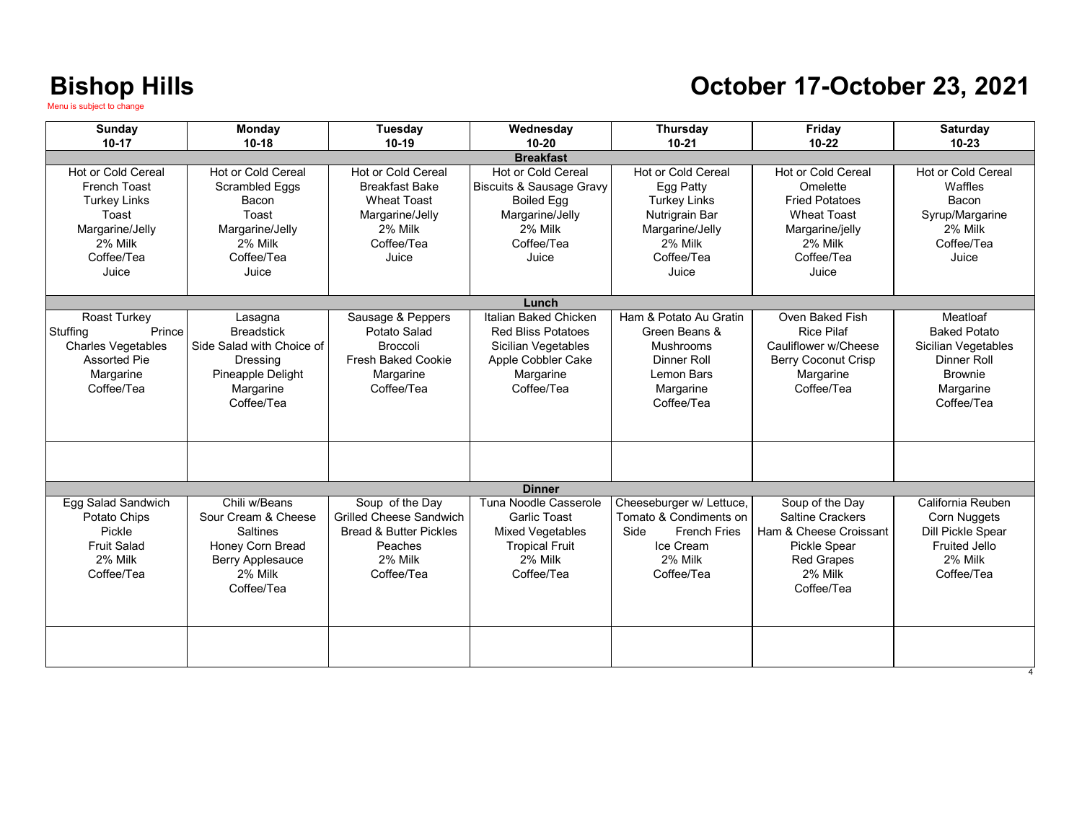## **October 17-October 23, 2021**

| <b>Sunday</b><br>$10-17$                                                                                                | Monday<br>$10 - 18$                                                                                                      | Tuesday<br>$10-19$                                                                                                            | Wednesday<br>$10 - 20$                                                                                                              | <b>Thursday</b><br>$10 - 21$                                                                                                         | Friday<br>$10 - 22$                                                                                                                       | Saturday<br>$10 - 23$                                                                                                     |  |  |
|-------------------------------------------------------------------------------------------------------------------------|--------------------------------------------------------------------------------------------------------------------------|-------------------------------------------------------------------------------------------------------------------------------|-------------------------------------------------------------------------------------------------------------------------------------|--------------------------------------------------------------------------------------------------------------------------------------|-------------------------------------------------------------------------------------------------------------------------------------------|---------------------------------------------------------------------------------------------------------------------------|--|--|
| <b>Breakfast</b>                                                                                                        |                                                                                                                          |                                                                                                                               |                                                                                                                                     |                                                                                                                                      |                                                                                                                                           |                                                                                                                           |  |  |
| Hot or Cold Cereal<br>French Toast<br><b>Turkey Links</b><br>Toast<br>Margarine/Jelly<br>2% Milk<br>Coffee/Tea<br>Juice | Hot or Cold Cereal<br>Scrambled Eggs<br>Bacon<br>Toast<br>Margarine/Jelly<br>2% Milk<br>Coffee/Tea<br>Juice              | <b>Hot or Cold Cereal</b><br><b>Breakfast Bake</b><br><b>Wheat Toast</b><br>Margarine/Jelly<br>2% Milk<br>Coffee/Tea<br>Juice | Hot or Cold Cereal<br><b>Biscuits &amp; Sausage Gravy</b><br><b>Boiled Egg</b><br>Margarine/Jelly<br>2% Milk<br>Coffee/Tea<br>Juice | <b>Hot or Cold Cereal</b><br>Egg Patty<br><b>Turkey Links</b><br>Nutrigrain Bar<br>Margarine/Jelly<br>2% Milk<br>Coffee/Tea<br>Juice | <b>Hot or Cold Cereal</b><br>Omelette<br><b>Fried Potatoes</b><br><b>Wheat Toast</b><br>Margarine/jelly<br>2% Milk<br>Coffee/Tea<br>Juice | <b>Hot or Cold Cereal</b><br>Waffles<br>Bacon<br>Syrup/Margarine<br>2% Milk<br>Coffee/Tea<br>Juice                        |  |  |
|                                                                                                                         |                                                                                                                          |                                                                                                                               | Lunch                                                                                                                               |                                                                                                                                      |                                                                                                                                           |                                                                                                                           |  |  |
| Roast Turkey<br>Prince<br>Stuffing<br>Charles Vegetables<br><b>Assorted Pie</b><br>Margarine<br>Coffee/Tea              | Lasagna<br><b>Breadstick</b><br>Side Salad with Choice of<br>Dressing<br>Pineapple Delight<br>Margarine<br>Coffee/Tea    | Sausage & Peppers<br>Potato Salad<br>Broccoli<br><b>Fresh Baked Cookie</b><br>Margarine<br>Coffee/Tea                         | Italian Baked Chicken<br><b>Red Bliss Potatoes</b><br>Sicilian Vegetables<br>Apple Cobbler Cake<br>Margarine<br>Coffee/Tea          | Ham & Potato Au Gratin<br>Green Beans &<br>Mushrooms<br>Dinner Roll<br>Lemon Bars<br>Margarine<br>Coffee/Tea                         | Oven Baked Fish<br><b>Rice Pilaf</b><br>Cauliflower w/Cheese<br><b>Berry Coconut Crisp</b><br>Margarine<br>Coffee/Tea                     | Meatloaf<br><b>Baked Potato</b><br>Sicilian Vegetables<br><b>Dinner Roll</b><br><b>Brownie</b><br>Margarine<br>Coffee/Tea |  |  |
|                                                                                                                         |                                                                                                                          |                                                                                                                               |                                                                                                                                     |                                                                                                                                      |                                                                                                                                           |                                                                                                                           |  |  |
| <b>Dinner</b>                                                                                                           |                                                                                                                          |                                                                                                                               |                                                                                                                                     |                                                                                                                                      |                                                                                                                                           |                                                                                                                           |  |  |
| Egg Salad Sandwich<br>Potato Chips<br>Pickle<br><b>Fruit Salad</b><br>2% Milk<br>Coffee/Tea                             | Chili w/Beans<br>Sour Cream & Cheese<br><b>Saltines</b><br>Honey Corn Bread<br>Berry Applesauce<br>2% Milk<br>Coffee/Tea | Soup of the Day<br><b>Grilled Cheese Sandwich</b><br><b>Bread &amp; Butter Pickles</b><br>Peaches<br>2% Milk<br>Coffee/Tea    | Tuna Noodle Casserole<br><b>Garlic Toast</b><br>Mixed Vegetables<br><b>Tropical Fruit</b><br>2% Milk<br>Coffee/Tea                  | Cheeseburger w/ Lettuce,<br>Tomato & Condiments on<br><b>French Fries</b><br>Side<br>Ice Cream<br>2% Milk<br>Coffee/Tea              | Soup of the Day<br><b>Saltine Crackers</b><br>Ham & Cheese Croissant<br><b>Pickle Spear</b><br><b>Red Grapes</b><br>2% Milk<br>Coffee/Tea | California Reuben<br>Corn Nuggets<br>Dill Pickle Spear<br><b>Fruited Jello</b><br>2% Milk<br>Coffee/Tea                   |  |  |
|                                                                                                                         |                                                                                                                          |                                                                                                                               |                                                                                                                                     |                                                                                                                                      |                                                                                                                                           |                                                                                                                           |  |  |